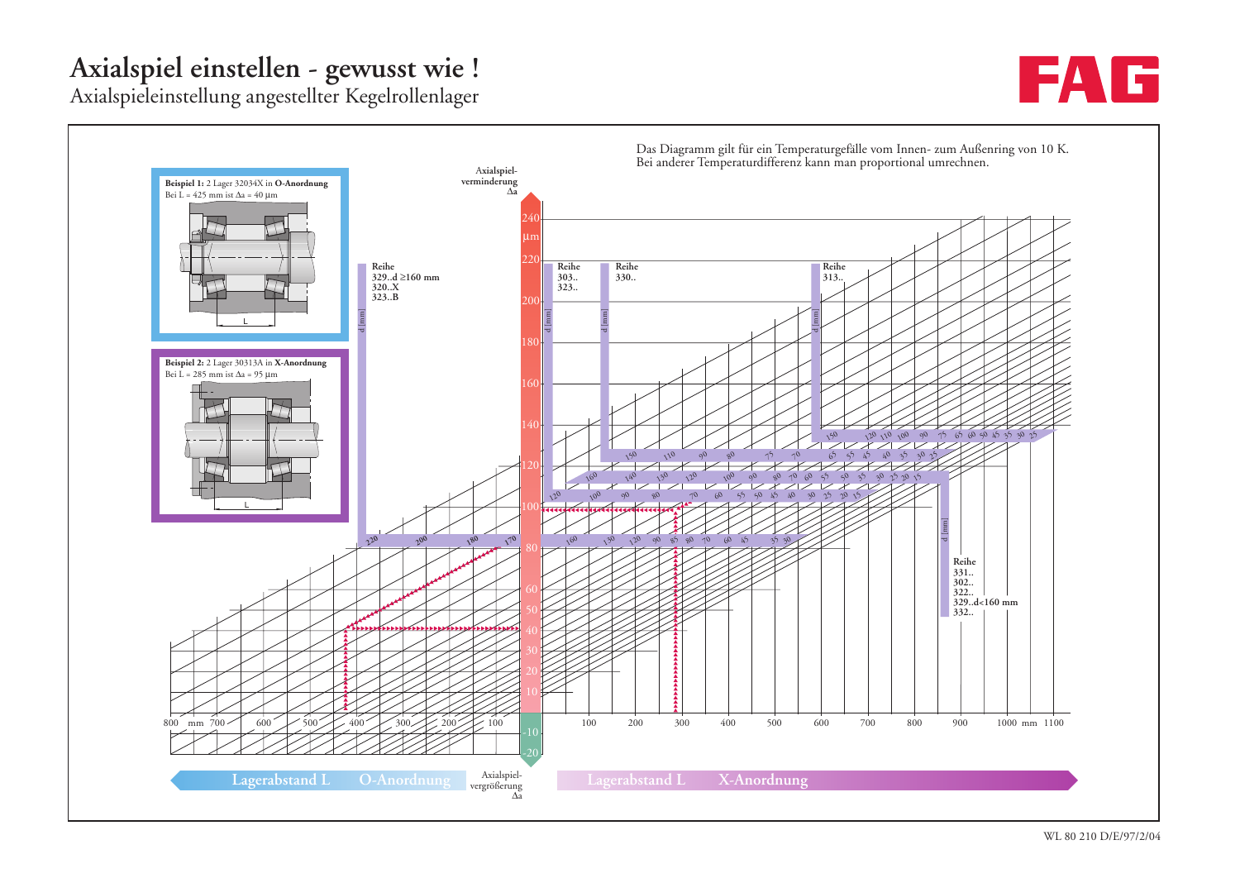## **Axialspiel einstellen - gewusst wie !**

**IF EX** 

Axialspieleinstellung angestellter Kegelrollenlager